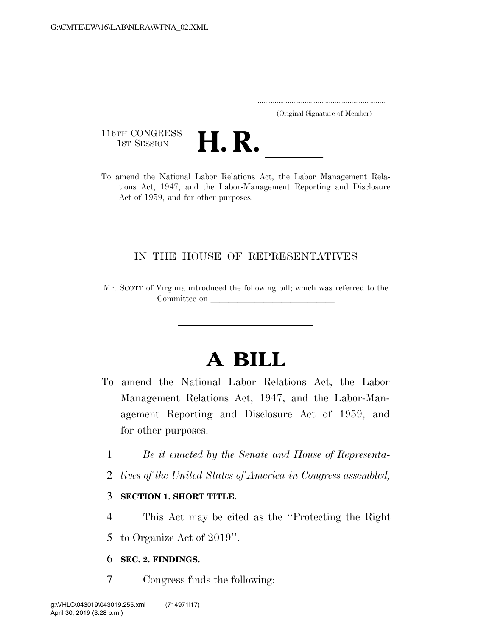..................................................................... (Original Signature of Member)

116TH CONGRESS<br>1st Session



116TH CONGRESS<br>
1st Session<br>
To amend the National Labor Relations Act, the Labor Management Relations Act, 1947, and the Labor-Management Reporting and Disclosure Act of 1959, and for other purposes.

## IN THE HOUSE OF REPRESENTATIVES

Mr. SCOTT of Virginia introduced the following bill; which was referred to the Committee on

# **A BILL**

- To amend the National Labor Relations Act, the Labor Management Relations Act, 1947, and the Labor-Management Reporting and Disclosure Act of 1959, and for other purposes.
	- 1 *Be it enacted by the Senate and House of Representa-*
	- 2 *tives of the United States of America in Congress assembled,*

#### 3 **SECTION 1. SHORT TITLE.**

4 This Act may be cited as the ''Protecting the Right

5 to Organize Act of 2019''.

#### 6 **SEC. 2. FINDINGS.**

7 Congress finds the following: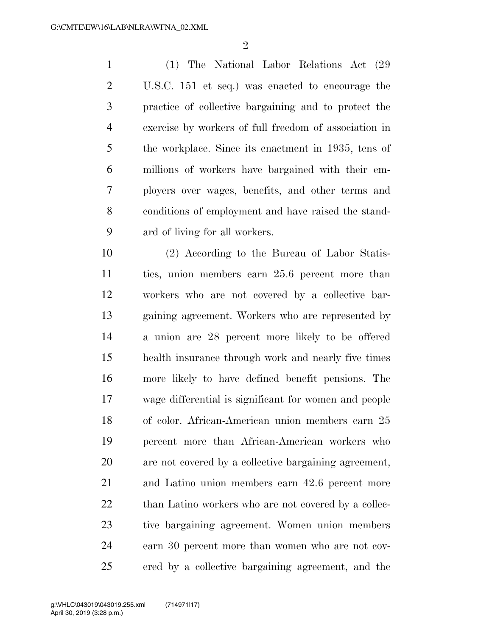$\mathfrak{D}$ 

 (1) The National Labor Relations Act (29 U.S.C. 151 et seq.) was enacted to encourage the practice of collective bargaining and to protect the exercise by workers of full freedom of association in the workplace. Since its enactment in 1935, tens of millions of workers have bargained with their em- ployers over wages, benefits, and other terms and conditions of employment and have raised the stand-ard of living for all workers.

 (2) According to the Bureau of Labor Statis- tics, union members earn 25.6 percent more than workers who are not covered by a collective bar- gaining agreement. Workers who are represented by a union are 28 percent more likely to be offered health insurance through work and nearly five times more likely to have defined benefit pensions. The wage differential is significant for women and people of color. African-American union members earn 25 percent more than African-American workers who are not covered by a collective bargaining agreement, and Latino union members earn 42.6 percent more 22 than Latino workers who are not covered by a collec- tive bargaining agreement. Women union members earn 30 percent more than women who are not cov-ered by a collective bargaining agreement, and the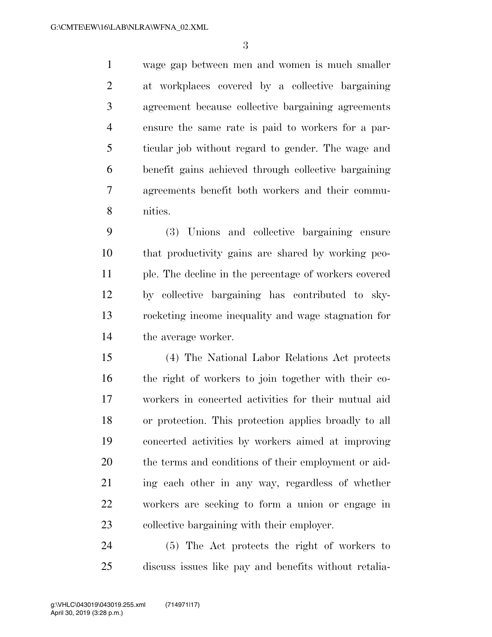wage gap between men and women is much smaller at workplaces covered by a collective bargaining agreement because collective bargaining agreements ensure the same rate is paid to workers for a par- ticular job without regard to gender. The wage and benefit gains achieved through collective bargaining agreements benefit both workers and their commu-nities.

 (3) Unions and collective bargaining ensure that productivity gains are shared by working peo- ple. The decline in the percentage of workers covered by collective bargaining has contributed to sky- rocketing income inequality and wage stagnation for the average worker.

 (4) The National Labor Relations Act protects the right of workers to join together with their co- workers in concerted activities for their mutual aid or protection. This protection applies broadly to all concerted activities by workers aimed at improving the terms and conditions of their employment or aid- ing each other in any way, regardless of whether workers are seeking to form a union or engage in collective bargaining with their employer.

 (5) The Act protects the right of workers to discuss issues like pay and benefits without retalia-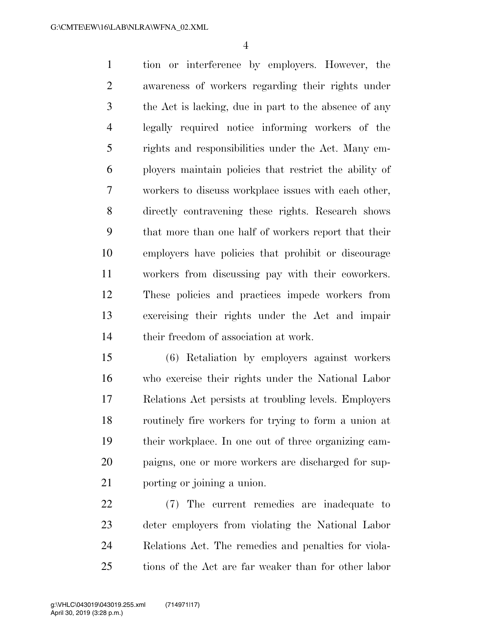tion or interference by employers. However, the awareness of workers regarding their rights under the Act is lacking, due in part to the absence of any legally required notice informing workers of the rights and responsibilities under the Act. Many em- ployers maintain policies that restrict the ability of workers to discuss workplace issues with each other, directly contravening these rights. Research shows that more than one half of workers report that their employers have policies that prohibit or discourage workers from discussing pay with their coworkers. These policies and practices impede workers from exercising their rights under the Act and impair their freedom of association at work.

 (6) Retaliation by employers against workers who exercise their rights under the National Labor Relations Act persists at troubling levels. Employers routinely fire workers for trying to form a union at their workplace. In one out of three organizing cam- paigns, one or more workers are discharged for sup-porting or joining a union.

 (7) The current remedies are inadequate to deter employers from violating the National Labor Relations Act. The remedies and penalties for viola-tions of the Act are far weaker than for other labor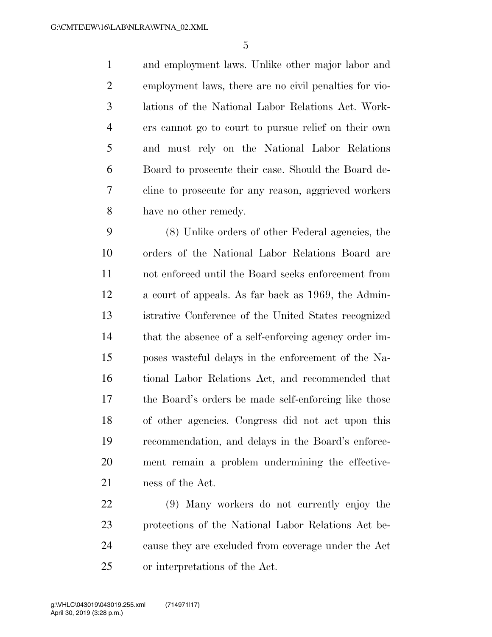and employment laws. Unlike other major labor and employment laws, there are no civil penalties for vio- lations of the National Labor Relations Act. Work- ers cannot go to court to pursue relief on their own and must rely on the National Labor Relations Board to prosecute their case. Should the Board de- cline to prosecute for any reason, aggrieved workers have no other remedy.

 (8) Unlike orders of other Federal agencies, the orders of the National Labor Relations Board are not enforced until the Board seeks enforcement from a court of appeals. As far back as 1969, the Admin- istrative Conference of the United States recognized that the absence of a self-enforcing agency order im- poses wasteful delays in the enforcement of the Na- tional Labor Relations Act, and recommended that the Board's orders be made self-enforcing like those of other agencies. Congress did not act upon this recommendation, and delays in the Board's enforce- ment remain a problem undermining the effective-ness of the Act.

 (9) Many workers do not currently enjoy the protections of the National Labor Relations Act be- cause they are excluded from coverage under the Act or interpretations of the Act.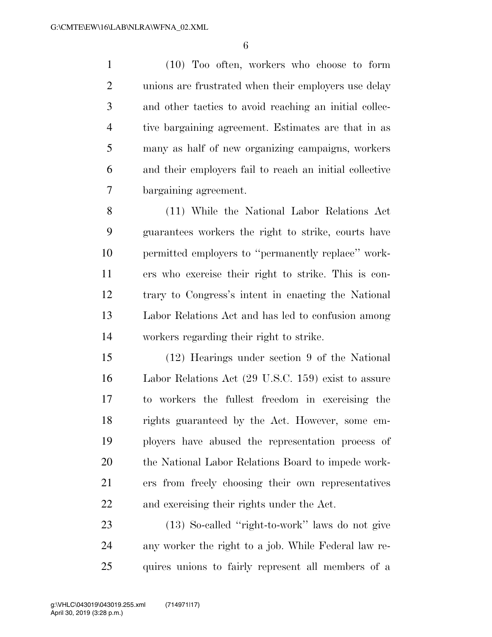(10) Too often, workers who choose to form unions are frustrated when their employers use delay and other tactics to avoid reaching an initial collec- tive bargaining agreement. Estimates are that in as many as half of new organizing campaigns, workers and their employers fail to reach an initial collective bargaining agreement.

 (11) While the National Labor Relations Act guarantees workers the right to strike, courts have permitted employers to ''permanently replace'' work- ers who exercise their right to strike. This is con- trary to Congress's intent in enacting the National Labor Relations Act and has led to confusion among workers regarding their right to strike.

 (12) Hearings under section 9 of the National Labor Relations Act (29 U.S.C. 159) exist to assure to workers the fullest freedom in exercising the rights guaranteed by the Act. However, some em- ployers have abused the representation process of the National Labor Relations Board to impede work- ers from freely choosing their own representatives and exercising their rights under the Act.

 (13) So-called ''right-to-work'' laws do not give any worker the right to a job. While Federal law re-quires unions to fairly represent all members of a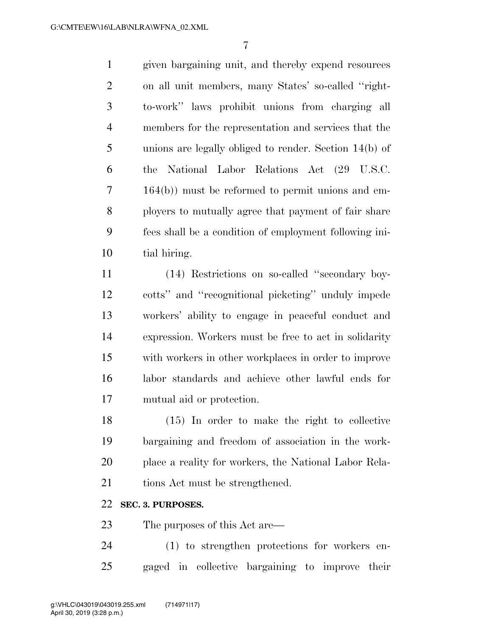given bargaining unit, and thereby expend resources on all unit members, many States' so-called ''right- to-work'' laws prohibit unions from charging all members for the representation and services that the unions are legally obliged to render. Section 14(b) of the National Labor Relations Act (29 U.S.C. 164(b)) must be reformed to permit unions and em- ployers to mutually agree that payment of fair share fees shall be a condition of employment following ini-tial hiring.

 (14) Restrictions on so-called ''secondary boy- cotts'' and ''recognitional picketing'' unduly impede workers' ability to engage in peaceful conduct and expression. Workers must be free to act in solidarity with workers in other workplaces in order to improve labor standards and achieve other lawful ends for mutual aid or protection.

 (15) In order to make the right to collective bargaining and freedom of association in the work- place a reality for workers, the National Labor Rela-21 tions Act must be strengthened.

## **SEC. 3. PURPOSES.**

The purposes of this Act are—

 (1) to strengthen protections for workers en-gaged in collective bargaining to improve their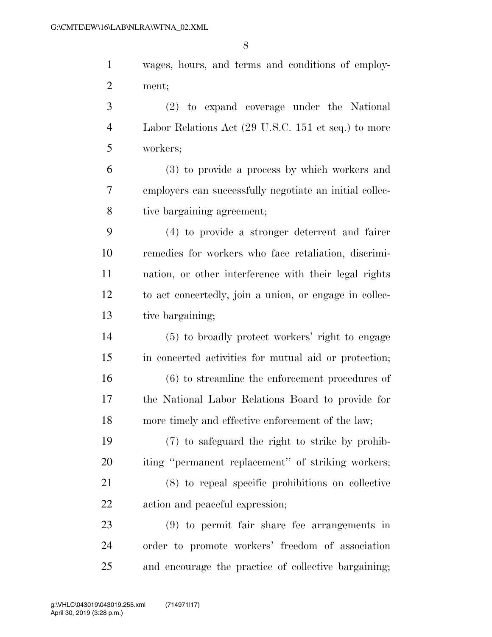wages, hours, and terms and conditions of employ-ment;

 (2) to expand coverage under the National Labor Relations Act (29 U.S.C. 151 et seq.) to more workers;

 (3) to provide a process by which workers and employers can successfully negotiate an initial collec-tive bargaining agreement;

 (4) to provide a stronger deterrent and fairer remedies for workers who face retaliation, discrimi- nation, or other interference with their legal rights to act concertedly, join a union, or engage in collec-tive bargaining;

 (5) to broadly protect workers' right to engage in concerted activities for mutual aid or protection; (6) to streamline the enforcement procedures of the National Labor Relations Board to provide for more timely and effective enforcement of the law;

 (7) to safeguard the right to strike by prohib- iting ''permanent replacement'' of striking workers; (8) to repeal specific prohibitions on collective action and peaceful expression;

 (9) to permit fair share fee arrangements in order to promote workers' freedom of association and encourage the practice of collective bargaining;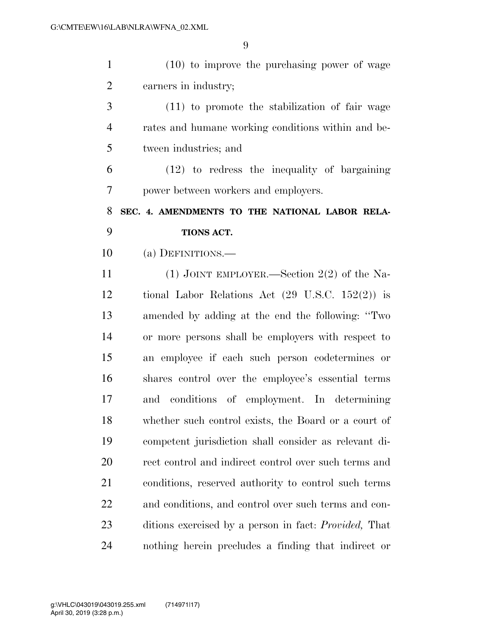| $\mathbf{1}$   | $(10)$ to improve the purchasing power of wage                |
|----------------|---------------------------------------------------------------|
| $\overline{2}$ | earners in industry;                                          |
| 3              | $(11)$ to promote the stabilization of fair wage              |
| $\overline{4}$ | rates and humane working conditions within and be-            |
| 5              | tween industries; and                                         |
| 6              | $(12)$ to redress the inequality of bargaining                |
| 7              | power between workers and employers.                          |
| 8              | SEC. 4. AMENDMENTS TO THE NATIONAL LABOR RELA-                |
| 9              | TIONS ACT.                                                    |
| 10             | (a) DEFINITIONS.—                                             |
| 11             | (1) JOINT EMPLOYER.—Section $2(2)$ of the Na-                 |
| 12             | tional Labor Relations Act $(29 \text{ U.S.C. } 152(2))$ is   |
| 13             | amended by adding at the end the following: "Two              |
| 14             | or more persons shall be employers with respect to            |
| 15             | an employee if each such person codetermines or               |
| 16             | shares control over the employee's essential terms            |
| 17             | and conditions of employment. In determining                  |
| 18             | whether such control exists, the Board or a court of          |
| 19             | competent jurisdiction shall consider as relevant di-         |
| 20             | rect control and indirect control over such terms and         |
| 21             | conditions, reserved authority to control such terms          |
| 22             | and conditions, and control over such terms and con-          |
| 23             | ditions exercised by a person in fact: <i>Provided</i> , That |
| 24             | nothing herein precludes a finding that indirect or           |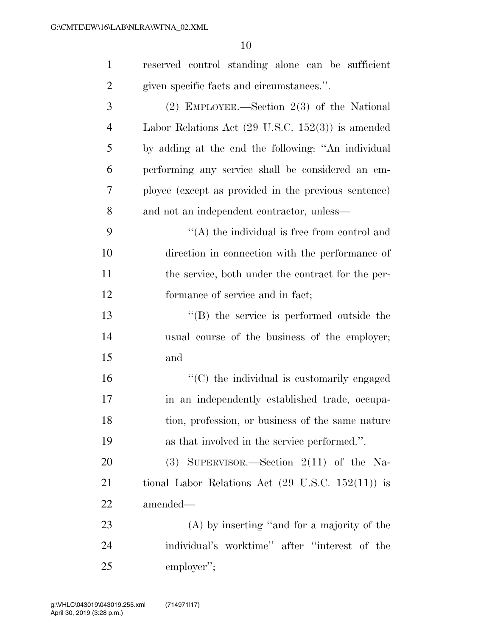| $\mathbf{1}$   | reserved control standing alone can be sufficient            |
|----------------|--------------------------------------------------------------|
| $\overline{2}$ | given specific facts and circumstances.".                    |
| 3              | (2) EMPLOYEE.—Section $2(3)$ of the National                 |
| $\overline{4}$ | Labor Relations Act $(29 \text{ U.S.C. } 152(3))$ is amended |
| 5              | by adding at the end the following: "An individual           |
| 6              | performing any service shall be considered an em-            |
| 7              | ployee (except as provided in the previous sentence)         |
| 8              | and not an independent contractor, unless—                   |
| 9              | $\lq\lq$ the individual is free from control and             |
| 10             | direction in connection with the performance of              |
| 11             | the service, both under the contract for the per-            |
| 12             | formance of service and in fact;                             |
| 13             | "(B) the service is performed outside the                    |
| 14             | usual course of the business of the employer;                |
| 15             | and                                                          |
| 16             | $\cdot$ (C) the individual is customarily engaged            |
| 17             | in an independently established trade, occupa-               |
| 18             | tion, profession, or business of the same nature             |
| 19             | as that involved in the service performed.".                 |
| 20             | (3) SUPERVISOR.—Section $2(11)$ of the Na-                   |
| 21             | tional Labor Relations Act $(29 \text{ U.S.C. } 152(11))$ is |
| 22             | amended—                                                     |
| 23             | $(A)$ by inserting "and for a majority of the                |
| 24             | individual's worktime" after "interest of the                |
| 25             | employer";                                                   |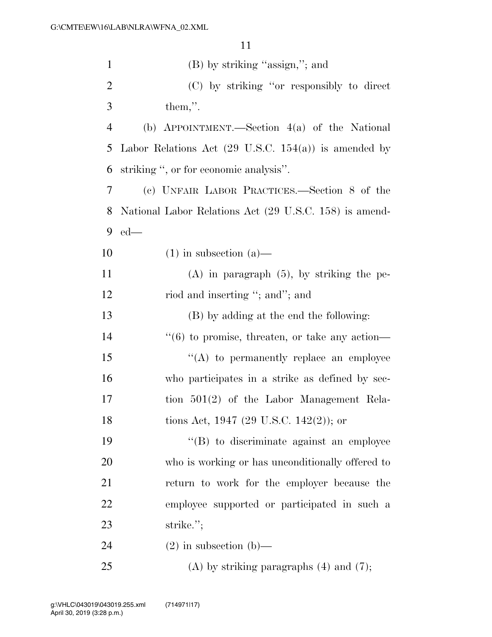| $\mathbf{1}$   | $(B)$ by striking "assign,"; and                                |
|----------------|-----------------------------------------------------------------|
| $\overline{c}$ | (C) by striking "or responsibly to direct                       |
| 3              | $them,$ ".                                                      |
| $\overline{4}$ | (b) APPOINTMENT.—Section $4(a)$ of the National                 |
| 5              | Labor Relations Act $(29 \text{ U.S.C. } 154(a))$ is amended by |
| 6              | striking ", or for economic analysis".                          |
| 7              | (c) UNFAIR LABOR PRACTICES.—Section 8 of the                    |
| 8              | National Labor Relations Act (29 U.S.C. 158) is amend-          |
| 9              | ${\rm ed}\text{---}$                                            |
| 10             | $(1)$ in subsection $(a)$ —                                     |
| 11             | $(A)$ in paragraph $(5)$ , by striking the pe-                  |
| 12             | riod and inserting "; and"; and                                 |
| 13             | (B) by adding at the end the following:                         |
| 14             | $``(6)$ to promise, threaten, or take any action—               |
| 15             | $\lq\lq$ to permanently replace an employee                     |
| 16             | who participates in a strike as defined by sec-                 |
| 17             | tion $501(2)$ of the Labor Management Rela-                     |
| 18             | tions Act, 1947 (29 U.S.C. 142(2)); or                          |
| 19             | "(B) to discriminate against an employee                        |
| 20             | who is working or has unconditionally offered to                |
| 21             | return to work for the employer because the                     |
| 22             | employee supported or participated in such a                    |
| 23             | strike.";                                                       |
| 24             | $(2)$ in subsection $(b)$ —                                     |
| 25             | (A) by striking paragraphs $(4)$ and $(7)$ ;                    |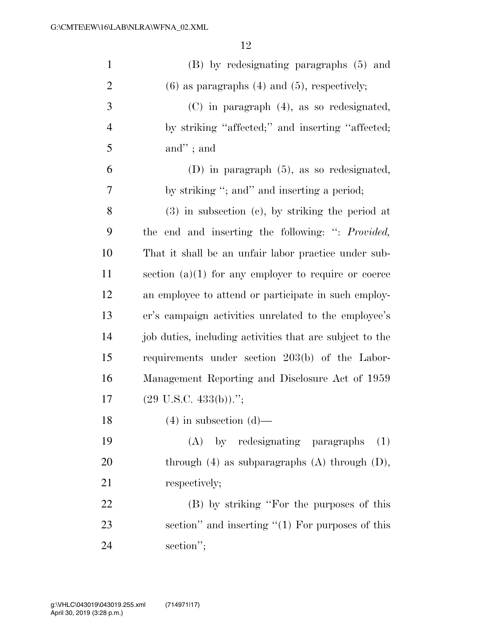| $\mathbf{1}$   | (B) by redesignating paragraphs (5) and                  |
|----------------|----------------------------------------------------------|
| $\overline{2}$ | $(6)$ as paragraphs $(4)$ and $(5)$ , respectively;      |
| 3              | (C) in paragraph (4), as so redesignated,                |
| $\overline{4}$ | by striking "affected;" and inserting "affected;         |
| 5              | and"; and                                                |
| 6              | $(D)$ in paragraph $(5)$ , as so redesignated,           |
| 7              | by striking "; and" and inserting a period;              |
| 8              | $(3)$ in subsection $(e)$ , by striking the period at    |
| 9              | the end and inserting the following: ": Provided,        |
| 10             | That it shall be an unfair labor practice under sub-     |
| 11             | section $(a)(1)$ for any employer to require or coerce   |
| 12             | an employee to attend or participate in such employ-     |
| 13             | er's campaign activities unrelated to the employee's     |
| 14             | job duties, including activities that are subject to the |
| 15             | requirements under section 203(b) of the Labor-          |
| 16             | Management Reporting and Disclosure Act of 1959          |
| 17             | $(29 \text{ U.S.C. } 433(b))$ .";                        |
| 18             | $(4)$ in subsection $(d)$ —                              |
| 19             | (A) by redesignating paragraphs<br>(1)                   |
| 20             | through $(4)$ as subparagraphs $(A)$ through $(D)$ ,     |
| 21             | respectively;                                            |
| 22             | (B) by striking "For the purposes of this                |
| 23             | section" and inserting " $(1)$ For purposes of this      |
| 24             | section";                                                |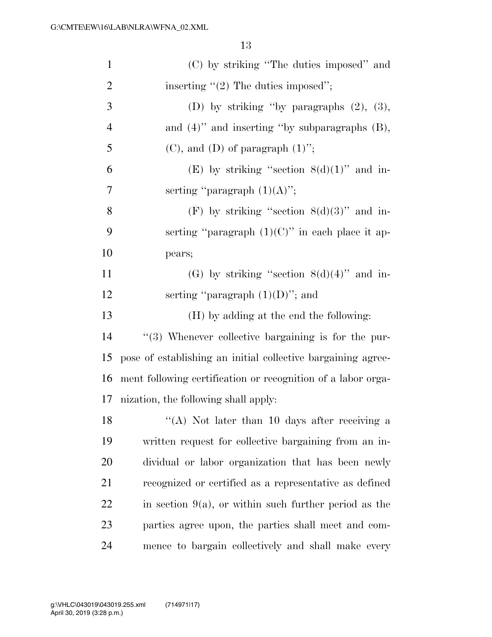| $\mathbf{1}$   | (C) by striking "The duties imposed" and                     |
|----------------|--------------------------------------------------------------|
| $\overline{2}$ | inserting $"(2)$ The duties imposed";                        |
| 3              | (D) by striking "by paragraphs $(2)$ , $(3)$ ,               |
| $\overline{4}$ | and $(4)$ " and inserting "by subparagraphs $(B)$ ,          |
| 5              | $(C)$ , and $(D)$ of paragraph $(1)$ ";                      |
| 6              | (E) by striking "section $8(d)(1)$ " and in-                 |
| 7              | serting "paragraph $(1)(A)$ ";                               |
| $8\,$          | (F) by striking "section $8(d)(3)$ " and in-                 |
| 9              | serting "paragraph $(1)(C)$ " in each place it ap-           |
| 10             | pears;                                                       |
| 11             | (G) by striking "section $8(d)(4)$ " and in-                 |
| 12             | serting "paragraph $(1)(D)$ "; and                           |
| 13             | (H) by adding at the end the following:                      |
| 14             | $"$ (3) Whenever collective bargaining is for the pur-       |
| 15             | pose of establishing an initial collective bargaining agree- |
| 16             | ment following certification or recognition of a labor orga- |
| 17             | nization, the following shall apply:                         |
| 18             | "(A) Not later than 10 days after receiving a                |
| 19             | written request for collective bargaining from an in-        |
| 20             | dividual or labor organization that has been newly           |
| 21             | recognized or certified as a representative as defined       |
| 22             | in section $9(a)$ , or within such further period as the     |
| 23             | parties agree upon, the parties shall meet and com-          |
| 24             | mence to bargain collectively and shall make every           |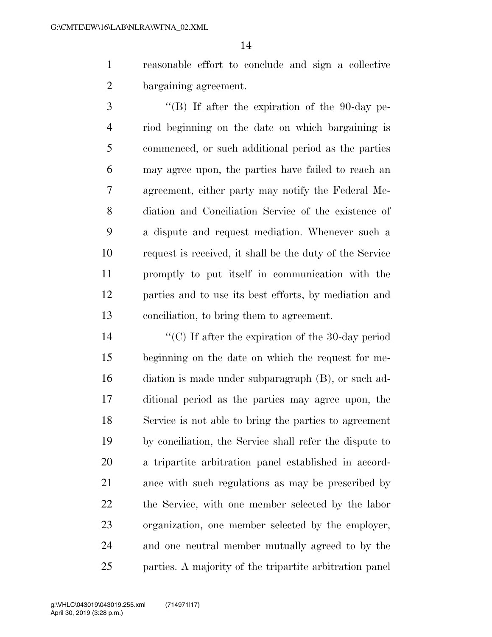reasonable effort to conclude and sign a collective bargaining agreement.

 ''(B) If after the expiration of the 90-day pe- riod beginning on the date on which bargaining is commenced, or such additional period as the parties may agree upon, the parties have failed to reach an agreement, either party may notify the Federal Me- diation and Conciliation Service of the existence of a dispute and request mediation. Whenever such a request is received, it shall be the duty of the Service promptly to put itself in communication with the parties and to use its best efforts, by mediation and conciliation, to bring them to agreement.

 ''(C) If after the expiration of the 30-day period beginning on the date on which the request for me- diation is made under subparagraph (B), or such ad- ditional period as the parties may agree upon, the Service is not able to bring the parties to agreement by conciliation, the Service shall refer the dispute to a tripartite arbitration panel established in accord- ance with such regulations as may be prescribed by the Service, with one member selected by the labor organization, one member selected by the employer, and one neutral member mutually agreed to by the parties. A majority of the tripartite arbitration panel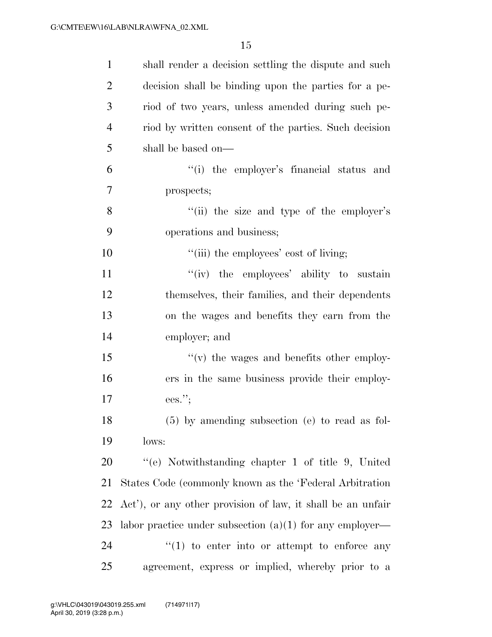| $\mathbf{1}$   | shall render a decision settling the dispute and such       |
|----------------|-------------------------------------------------------------|
| $\overline{2}$ | decision shall be binding upon the parties for a pe-        |
| 3              | riod of two years, unless amended during such pe-           |
| 4              | riod by written consent of the parties. Such decision       |
| 5              | shall be based on—                                          |
| 6              | "(i) the employer's financial status and                    |
| 7              | prospects;                                                  |
| 8              | "(ii) the size and type of the employer's                   |
| 9              | operations and business;                                    |
| 10             | "(iii) the employees' cost of living;                       |
| 11             | "(iv) the employees' ability to sustain                     |
| 12             | themselves, their families, and their dependents            |
| 13             | on the wages and benefits they earn from the                |
| 14             | employer; and                                               |
| 15             | $\lq\lq$ (v) the wages and benefits other employ-           |
| 16             | ers in the same business provide their employ-              |
| 17             | ees.";                                                      |
| 18             | $(5)$ by amending subsection (e) to read as fol-            |
| 19             | lows:                                                       |
| 20             | $(4)$ Notwithstanding chapter 1 of title 9, United          |
| 21             | States Code (commonly known as the 'Federal Arbitration     |
| 22             | Act'), or any other provision of law, it shall be an unfair |
| 23             | labor practice under subsection $(a)(1)$ for any employer—  |
| 24             | $\lq(1)$ to enter into or attempt to enforce any            |
| 25             | agreement, express or implied, whereby prior to a           |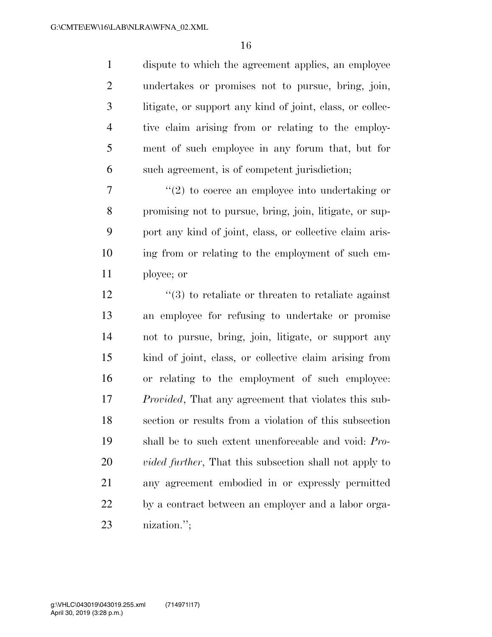dispute to which the agreement applies, an employee undertakes or promises not to pursue, bring, join, litigate, or support any kind of joint, class, or collec- tive claim arising from or relating to the employ- ment of such employee in any forum that, but for such agreement, is of competent jurisdiction;

 $\frac{u(2)}{2}$  to coerce an employee into undertaking or promising not to pursue, bring, join, litigate, or sup- port any kind of joint, class, or collective claim aris- ing from or relating to the employment of such em-ployee; or

 $\binom{12}{3}$  to retaliate or threaten to retaliate against an employee for refusing to undertake or promise not to pursue, bring, join, litigate, or support any kind of joint, class, or collective claim arising from or relating to the employment of such employee: *Provided*, That any agreement that violates this sub- section or results from a violation of this subsection shall be to such extent unenforceable and void: *Pro- vided further*, That this subsection shall not apply to any agreement embodied in or expressly permitted by a contract between an employer and a labor orga-nization.'';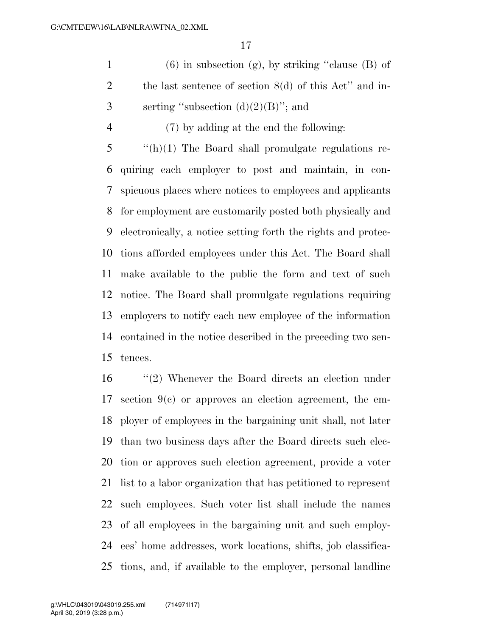1 (6) in subsection (g), by striking "clause (B) of 2 the last sentence of section 8(d) of this Act" and in-3 serting "subsection  $(d)(2)(B)$ "; and

(7) by adding at the end the following:

 ''(h)(1) The Board shall promulgate regulations re- quiring each employer to post and maintain, in con- spicuous places where notices to employees and applicants for employment are customarily posted both physically and electronically, a notice setting forth the rights and protec- tions afforded employees under this Act. The Board shall make available to the public the form and text of such notice. The Board shall promulgate regulations requiring employers to notify each new employee of the information contained in the notice described in the preceding two sen-tences.

 ''(2) Whenever the Board directs an election under section 9(c) or approves an election agreement, the em- ployer of employees in the bargaining unit shall, not later than two business days after the Board directs such elec- tion or approves such election agreement, provide a voter list to a labor organization that has petitioned to represent such employees. Such voter list shall include the names of all employees in the bargaining unit and such employ- ees' home addresses, work locations, shifts, job classifica-tions, and, if available to the employer, personal landline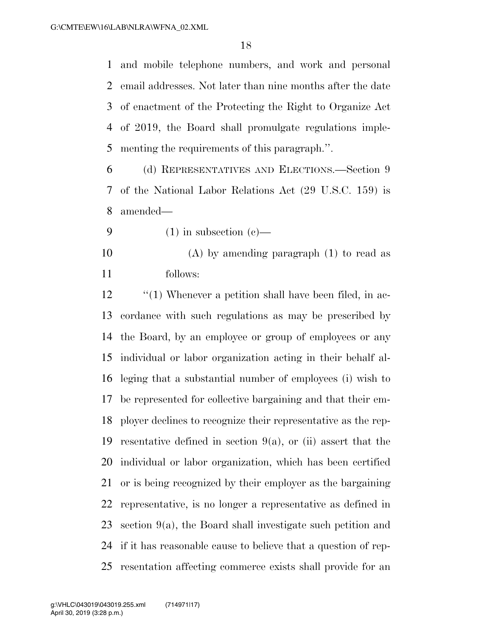and mobile telephone numbers, and work and personal email addresses. Not later than nine months after the date of enactment of the Protecting the Right to Organize Act of 2019, the Board shall promulgate regulations imple-menting the requirements of this paragraph.''.

 (d) REPRESENTATIVES AND ELECTIONS.—Section 9 of the National Labor Relations Act (29 U.S.C. 159) is amended—

9 (1) in subsection  $(e)$ —

 (A) by amending paragraph (1) to read as follows:

 $\cdot$  (1) Whenever a petition shall have been filed, in ac- cordance with such regulations as may be prescribed by the Board, by an employee or group of employees or any individual or labor organization acting in their behalf al- leging that a substantial number of employees (i) wish to be represented for collective bargaining and that their em- ployer declines to recognize their representative as the rep-19 resentative defined in section  $9(a)$ , or (ii) assert that the individual or labor organization, which has been certified or is being recognized by their employer as the bargaining representative, is no longer a representative as defined in section 9(a), the Board shall investigate such petition and if it has reasonable cause to believe that a question of rep-resentation affecting commerce exists shall provide for an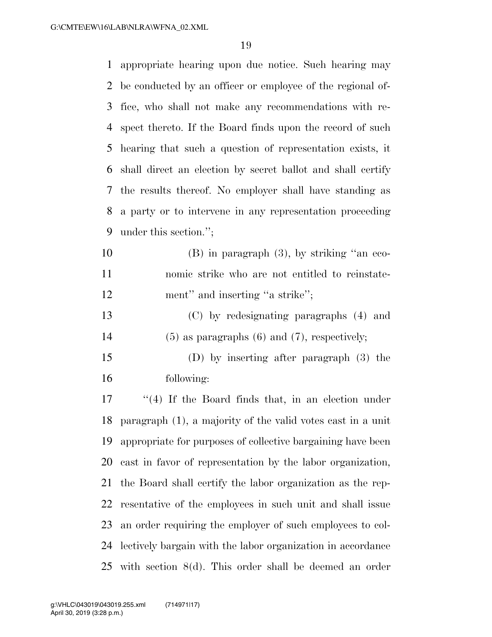| 1  | appropriate hearing upon due notice. Such hearing may             |
|----|-------------------------------------------------------------------|
| 2  | be conducted by an officer or employee of the regional of-        |
| 3  | fice, who shall not make any recommendations with re-             |
| 4  | spect thereto. If the Board finds upon the record of such         |
| 5  | hearing that such a question of representation exists, it         |
| 6  | shall direct an election by secret ballot and shall certify       |
| 7  | the results thereof. No employer shall have standing as           |
| 8  | a party or to intervene in any representation proceeding          |
| 9  | under this section.";                                             |
| 10 | $(B)$ in paragraph $(3)$ , by striking "an eco-                   |
| 11 | nomic strike who are not entitled to reinstate-                   |
| 12 | ment" and inserting "a strike";                                   |
| 13 | (C) by redesignating paragraphs (4) and                           |
| 14 | $(5)$ as paragraphs $(6)$ and $(7)$ , respectively;               |
| 15 | $(D)$ by inserting after paragraph $(3)$ the                      |
| 16 | following:                                                        |
| 17 | $(4)$ If the Board finds that, in an election under               |
|    | 18 paragraph $(1)$ , a majority of the valid votes cast in a unit |
| 19 | appropriate for purposes of collective bargaining have been       |
| 20 | cast in favor of representation by the labor organization,        |
| 21 | the Board shall certify the labor organization as the rep-        |
| 22 | resentative of the employees in such unit and shall issue         |
| 23 | an order requiring the employer of such employees to col-         |
| 24 | lectively bargain with the labor organization in accordance       |
| 25 | with section $8(d)$ . This order shall be deemed an order         |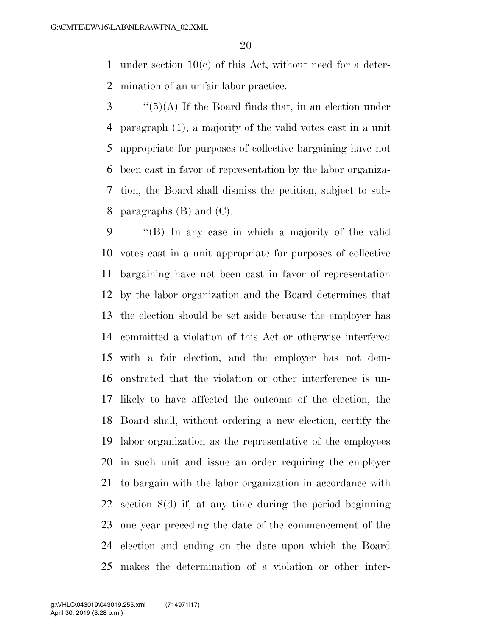under section 10(c) of this Act, without need for a deter-mination of an unfair labor practice.

 ''(5)(A) If the Board finds that, in an election under paragraph (1), a majority of the valid votes cast in a unit appropriate for purposes of collective bargaining have not been cast in favor of representation by the labor organiza- tion, the Board shall dismiss the petition, subject to sub-paragraphs (B) and (C).

 ''(B) In any case in which a majority of the valid votes cast in a unit appropriate for purposes of collective bargaining have not been cast in favor of representation by the labor organization and the Board determines that the election should be set aside because the employer has committed a violation of this Act or otherwise interfered with a fair election, and the employer has not dem- onstrated that the violation or other interference is un- likely to have affected the outcome of the election, the Board shall, without ordering a new election, certify the labor organization as the representative of the employees in such unit and issue an order requiring the employer to bargain with the labor organization in accordance with section 8(d) if, at any time during the period beginning one year preceding the date of the commencement of the election and ending on the date upon which the Board makes the determination of a violation or other inter-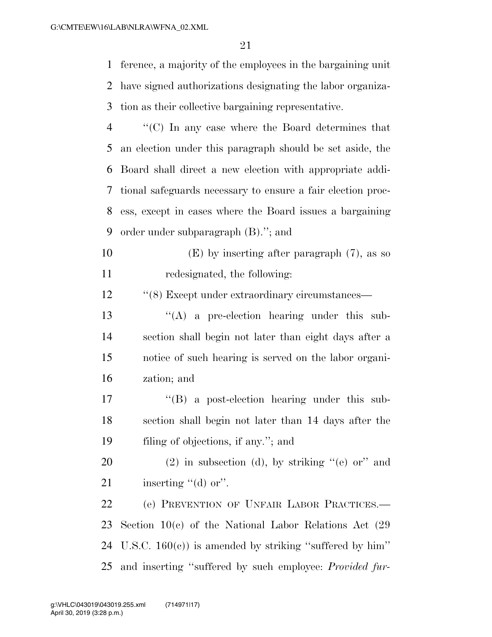ference, a majority of the employees in the bargaining unit have signed authorizations designating the labor organiza-tion as their collective bargaining representative.

 ''(C) In any case where the Board determines that an election under this paragraph should be set aside, the Board shall direct a new election with appropriate addi- tional safeguards necessary to ensure a fair election proc- ess, except in cases where the Board issues a bargaining order under subparagraph (B).''; and

 (E) by inserting after paragraph (7), as so redesignated, the following:

12 ''(8) Except under extraordinary circumstances—

- ''(A) a pre-election hearing under this sub- section shall begin not later than eight days after a notice of such hearing is served on the labor organi-zation; and
- 17  $\langle G \rangle$  a post-election hearing under this sub- section shall begin not later than 14 days after the filing of objections, if any.''; and
- 20 (2) in subsection (d), by striking  $(1)$  or" and 21 inserting  $"(\mathrm{d})$  or".

 (e) PREVENTION OF UNFAIR LABOR PRACTICES.— Section 10(c) of the National Labor Relations Act (29 24 U.S.C.  $160(c)$  is amended by striking "suffered by him" and inserting ''suffered by such employee: *Provided fur-*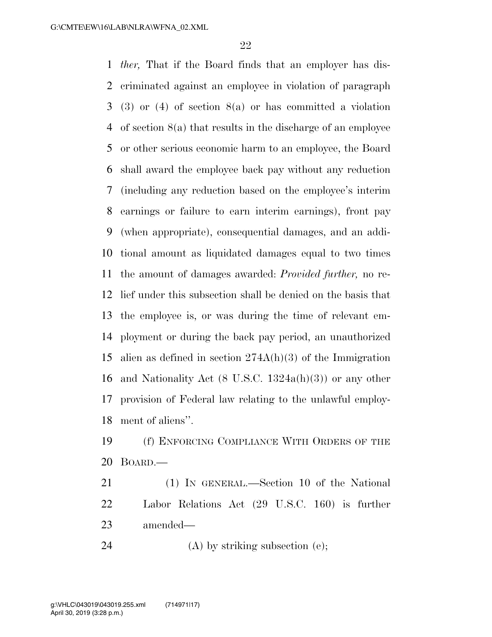*ther,* That if the Board finds that an employer has dis- criminated against an employee in violation of paragraph (3) or (4) of section 8(a) or has committed a violation of section 8(a) that results in the discharge of an employee or other serious economic harm to an employee, the Board shall award the employee back pay without any reduction (including any reduction based on the employee's interim earnings or failure to earn interim earnings), front pay (when appropriate), consequential damages, and an addi- tional amount as liquidated damages equal to two times the amount of damages awarded: *Provided further,* no re- lief under this subsection shall be denied on the basis that the employee is, or was during the time of relevant em- ployment or during the back pay period, an unauthorized alien as defined in section 274A(h)(3) of the Immigration and Nationality Act (8 U.S.C. 1324a(h)(3)) or any other provision of Federal law relating to the unlawful employ-ment of aliens''.

- (f) ENFORCING COMPLIANCE WITH ORDERS OF THE BOARD.—
- (1) IN GENERAL.—Section 10 of the National Labor Relations Act (29 U.S.C. 160) is further amended—
- 24 (A) by striking subsection (e);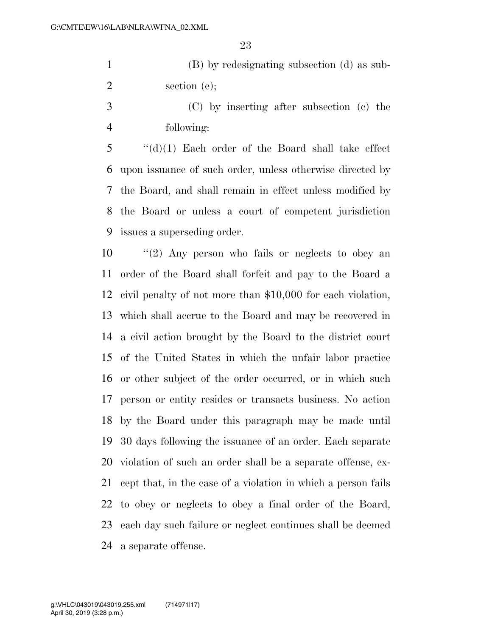(B) by redesignating subsection (d) as sub-2 section (e);

 (C) by inserting after subsection (c) the following:

 ''(d)(1) Each order of the Board shall take effect upon issuance of such order, unless otherwise directed by the Board, and shall remain in effect unless modified by the Board or unless a court of competent jurisdiction issues a superseding order.

 ''(2) Any person who fails or neglects to obey an order of the Board shall forfeit and pay to the Board a civil penalty of not more than \$10,000 for each violation, which shall accrue to the Board and may be recovered in a civil action brought by the Board to the district court of the United States in which the unfair labor practice or other subject of the order occurred, or in which such person or entity resides or transacts business. No action by the Board under this paragraph may be made until 30 days following the issuance of an order. Each separate violation of such an order shall be a separate offense, ex- cept that, in the case of a violation in which a person fails to obey or neglects to obey a final order of the Board, each day such failure or neglect continues shall be deemed a separate offense.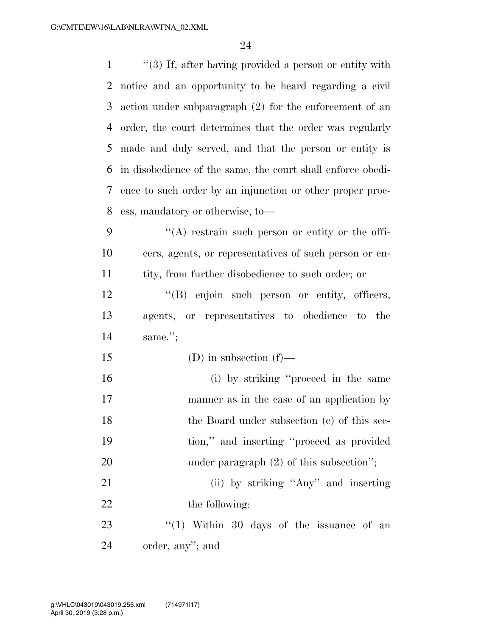| $\mathbf{1}$ | $\cdot\cdot$ (3) If, after having provided a person or entity with |
|--------------|--------------------------------------------------------------------|
| 2            | notice and an opportunity to be heard regarding a civil            |
| 3            | action under subparagraph $(2)$ for the enforcement of an          |
| 4            | order, the court determines that the order was regularly           |
| 5            | made and duly served, and that the person or entity is             |
| 6            | in disobedience of the same, the court shall enforce obedi-        |
| 7            | ence to such order by an injunction or other proper proc-          |
| 8            | ess, mandatory or otherwise, to-                                   |
| 9            | $\lq\lq$ restrain such person or entity or the offi-               |
| 10           | cers, agents, or representatives of such person or en-             |
| 11           | tity, from further disobedience to such order; or                  |
| 12           | "(B) enjoin such person or entity, officers,                       |
| 13           | agents, or representatives to obedience to the                     |
| 14           | same.";                                                            |
| 15           | (D) in subsection $(f)$ —                                          |
| 16           | (i) by striking "proceed in the same                               |
| 17           | manner as in the case of an application by                         |
| 18           | the Board under subsection (e) of this sec-                        |
| 19           | tion," and inserting "proceed as provided                          |
| 20           | under paragraph $(2)$ of this subsection";                         |
| 21           | (ii) by striking "Any" and inserting                               |
| 22           | the following:                                                     |
| 23           | $(1)$ Within 30 days of the issuance of an                         |
| 24           |                                                                    |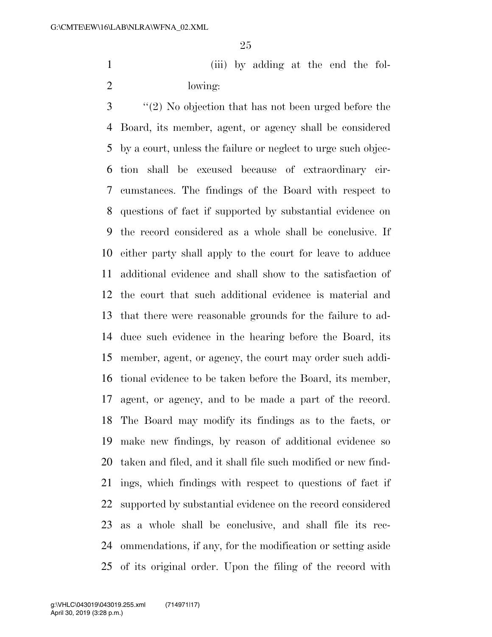(iii) by adding at the end the fol-lowing:

 ''(2) No objection that has not been urged before the Board, its member, agent, or agency shall be considered by a court, unless the failure or neglect to urge such objec- tion shall be excused because of extraordinary cir- cumstances. The findings of the Board with respect to questions of fact if supported by substantial evidence on the record considered as a whole shall be conclusive. If either party shall apply to the court for leave to adduce additional evidence and shall show to the satisfaction of the court that such additional evidence is material and that there were reasonable grounds for the failure to ad- duce such evidence in the hearing before the Board, its member, agent, or agency, the court may order such addi- tional evidence to be taken before the Board, its member, agent, or agency, and to be made a part of the record. The Board may modify its findings as to the facts, or make new findings, by reason of additional evidence so taken and filed, and it shall file such modified or new find- ings, which findings with respect to questions of fact if supported by substantial evidence on the record considered as a whole shall be conclusive, and shall file its rec- ommendations, if any, for the modification or setting aside of its original order. Upon the filing of the record with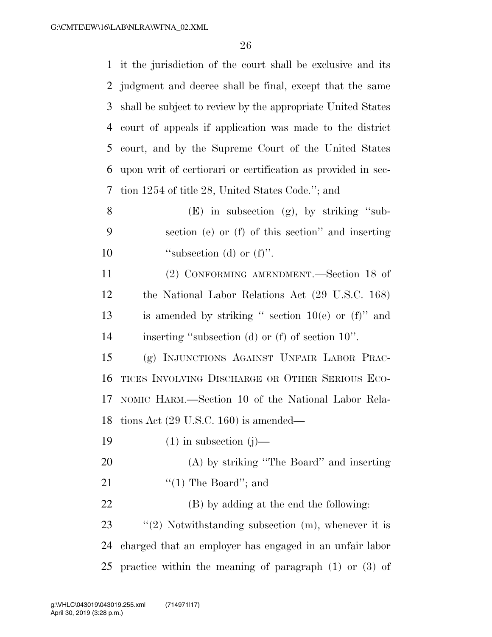| $\mathbf{1}$ | it the jurisdiction of the court shall be exclusive and its  |
|--------------|--------------------------------------------------------------|
| 2            | judgment and decree shall be final, except that the same     |
| 3            | shall be subject to review by the appropriate United States  |
| 4            | court of appeals if application was made to the district     |
| 5            | court, and by the Supreme Court of the United States         |
| 6            | upon writ of certiorari or certification as provided in sec- |
| 7            | tion 1254 of title 28, United States Code."; and             |
| 8            | $(E)$ in subsection $(g)$ , by striking "sub-                |
| 9            | section (e) or (f) of this section" and inserting            |
| 10           | "subsection (d) or $(f)$ ".                                  |
| 11           | (2) CONFORMING AMENDMENT.—Section 18 of                      |
| 12           | the National Labor Relations Act (29 U.S.C. 168)             |
| 13           | is amended by striking " section $10(e)$ or $(f)$ " and      |
| 14           | inserting "subsection (d) or (f) of section $10$ ".          |
| 15           | (g) INJUNCTIONS AGAINST UNFAIR LABOR PRAC-                   |
| 16           | TICES INVOLVING DISCHARGE OR OTHER SERIOUS ECO-              |
| 17           | NOMIC HARM.—Section 10 of the National Labor Rela-           |
| 18           | tions Act $(29 \text{ U.S.C. } 160)$ is amended—             |
| 19           | $(1)$ in subsection $(j)$ —                                  |
| 20           | (A) by striking "The Board" and inserting                    |
| 21           | "(1) The Board"; and                                         |
| 22           | (B) by adding at the end the following:                      |
| 23           | $\lq(2)$ Notwithstanding subsection (m), whenever it is      |
| 24           | charged that an employer has engaged in an unfair labor      |
| 25           | practice within the meaning of paragraph $(1)$ or $(3)$ of   |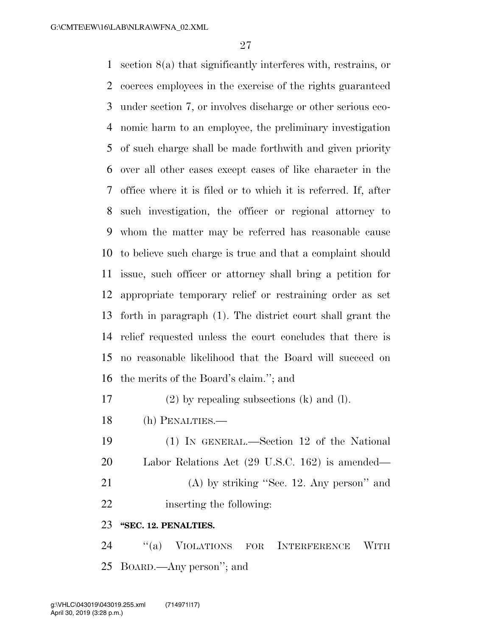section 8(a) that significantly interferes with, restrains, or coerces employees in the exercise of the rights guaranteed under section 7, or involves discharge or other serious eco- nomic harm to an employee, the preliminary investigation of such charge shall be made forthwith and given priority over all other cases except cases of like character in the office where it is filed or to which it is referred. If, after such investigation, the officer or regional attorney to whom the matter may be referred has reasonable cause to believe such charge is true and that a complaint should issue, such officer or attorney shall bring a petition for appropriate temporary relief or restraining order as set forth in paragraph (1). The district court shall grant the relief requested unless the court concludes that there is no reasonable likelihood that the Board will succeed on the merits of the Board's claim.''; and

(2) by repealing subsections (k) and (l).

- (h) PENALTIES.—
- (1) IN GENERAL.—Section 12 of the National Labor Relations Act (29 U.S.C. 162) is amended— (A) by striking ''Sec. 12. Any person'' and inserting the following:

#### **''SEC. 12. PENALTIES.**

24 "(a) VIOLATIONS FOR INTERFERENCE WITH BOARD.—Any person''; and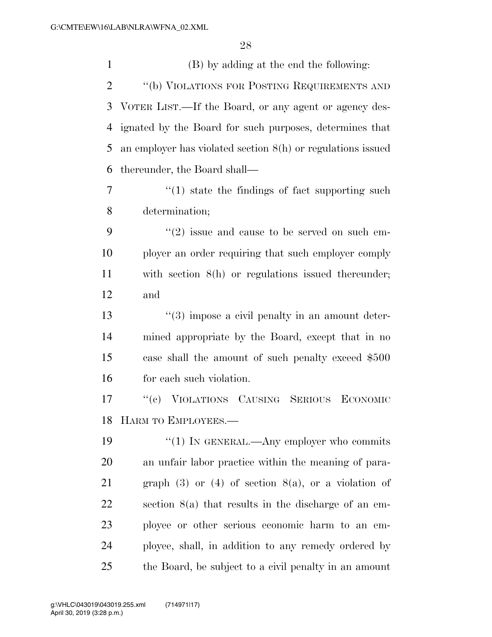(B) by adding at the end the following: ''(b) VIOLATIONS FOR POSTING REQUIREMENTS AND VOTER LIST.—If the Board, or any agent or agency des- ignated by the Board for such purposes, determines that an employer has violated section 8(h) or regulations issued thereunder, the Board shall—  $\frac{1}{1}$  state the findings of fact supporting such determination;  $(2)$  issue and cause to be served on such em- ployer an order requiring that such employer comply with section 8(h) or regulations issued thereunder; and 13 ''(3) impose a civil penalty in an amount deter- mined appropriate by the Board, except that in no case shall the amount of such penalty exceed \$500 16 for each such violation. ''(c) VIOLATIONS CAUSING SERIOUS ECONOMIC HARM TO EMPLOYEES.— 19 "(1) IN GENERAL.—Any employer who commits an unfair labor practice within the meaning of para-21 graph (3) or (4) of section  $8(a)$ , or a violation of section 8(a) that results in the discharge of an em- ployee or other serious economic harm to an em- ployee, shall, in addition to any remedy ordered by the Board, be subject to a civil penalty in an amount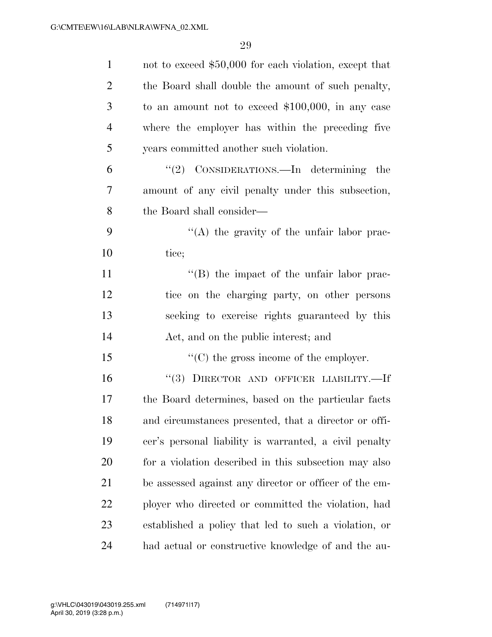| $\mathbf{1}$   | not to exceed \$50,000 for each violation, except that |
|----------------|--------------------------------------------------------|
| $\overline{2}$ | the Board shall double the amount of such penalty,     |
| 3              | to an amount not to exceed $$100,000$ , in any case    |
| $\overline{4}$ | where the employer has within the preceding five       |
| 5              | years committed another such violation.                |
| 6              | " $(2)$ CONSIDERATIONS.—In determining the             |
| 7              | amount of any civil penalty under this subsection,     |
| 8              | the Board shall consider—                              |
| 9              | "(A) the gravity of the unfair labor prac-             |
| 10             | tice;                                                  |
| 11             | $\lq\lq (B)$ the impact of the unfair labor prac-      |
| 12             | tice on the charging party, on other persons           |
| 13             | seeking to exercise rights guaranteed by this          |
| 14             | Act, and on the public interest; and                   |
| 15             | $\lq\lq$ (C) the gross income of the employer.         |
| 16             | "(3) DIRECTOR AND OFFICER LIABILITY.—If                |
| 17             | the Board determines, based on the particular facts    |
| 18             | and circumstances presented, that a director or offi-  |
| 19             | cer's personal liability is warranted, a civil penalty |
| 20             | for a violation described in this subsection may also  |
| 21             | be assessed against any director or officer of the em- |
| 22             | ployer who directed or committed the violation, had    |
| 23             | established a policy that led to such a violation, or  |
| 24             | had actual or constructive knowledge of and the au-    |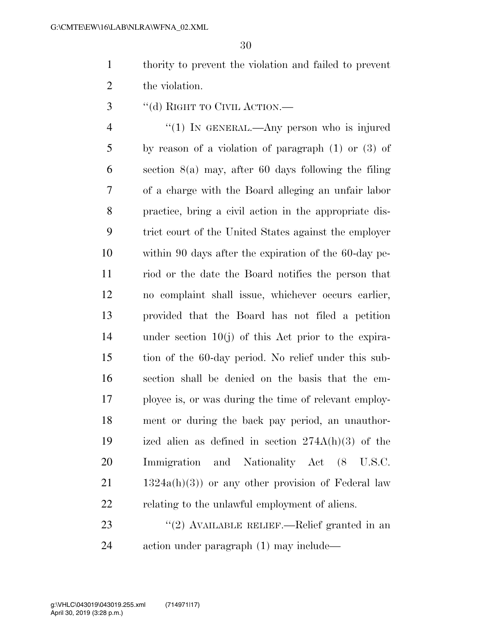- thority to prevent the violation and failed to prevent 2 the violation.
- ''(d) RIGHT TO CIVIL ACTION.—

4 "(1) In GENERAL.—Any person who is injured by reason of a violation of paragraph (1) or (3) of section 8(a) may, after 60 days following the filing of a charge with the Board alleging an unfair labor practice, bring a civil action in the appropriate dis- trict court of the United States against the employer within 90 days after the expiration of the 60-day pe- riod or the date the Board notifies the person that no complaint shall issue, whichever occurs earlier, provided that the Board has not filed a petition under section 10(j) of this Act prior to the expira- tion of the 60-day period. No relief under this sub- section shall be denied on the basis that the em- ployee is, or was during the time of relevant employ- ment or during the back pay period, an unauthor- ized alien as defined in section 274A(h)(3) of the Immigration and Nationality Act (8 U.S.C. 1324a(h)(3)) or any other provision of Federal law relating to the unlawful employment of aliens.

23 "(2) AVAILABLE RELIEF.—Relief granted in an action under paragraph (1) may include—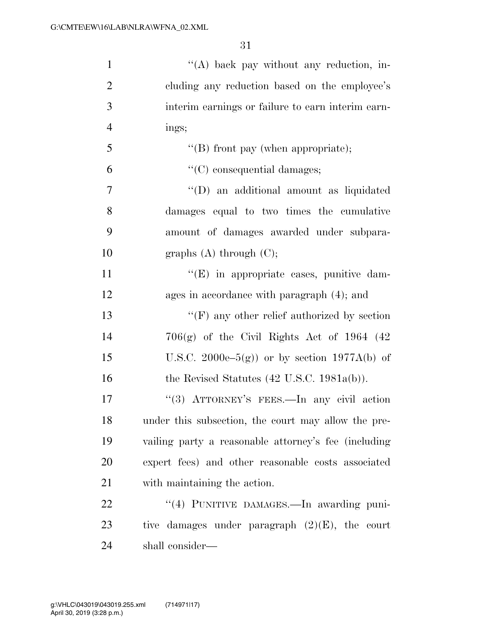| $\mathbf{1}$   | $\lq\lq$ back pay without any reduction, in-           |
|----------------|--------------------------------------------------------|
| $\overline{2}$ | cluding any reduction based on the employee's          |
| 3              | interim earnings or failure to earn interim earn-      |
| $\overline{4}$ | ings;                                                  |
| 5              | "(B) front pay (when appropriate);                     |
| 6              | $\lq\lq$ consequential damages;                        |
| 7              | "(D) an additional amount as liquidated                |
| 8              | damages equal to two times the cumulative              |
| 9              | amount of damages awarded under subpara-               |
| 10             | graphs $(A)$ through $(C)$ ;                           |
| 11             | $\lq\lq(E)$ in appropriate cases, punitive dam-        |
| 12             | ages in accordance with paragraph (4); and             |
| 13             | $\lq\lq(F)$ any other relief authorized by section     |
| 14             | $706(g)$ of the Civil Rights Act of 1964 (42)          |
| 15             | U.S.C. 2000e– $5(g)$ or by section 1977A(b) of         |
| 16             | the Revised Statutes $(42 \text{ U.S.C. } 1981a(b))$ . |
| 17             | "(3) ATTORNEY'S FEES.—In any civil action              |
| 18             | under this subsection, the court may allow the pre-    |
| 19             | vailing party a reasonable attorney's fee (including   |
| 20             | expert fees) and other reasonable costs associated     |
| 21             | with maintaining the action.                           |
| 22             | "(4) PUNITIVE DAMAGES.—In awarding puni-               |
| 23             | tive damages under paragraph $(2)(E)$ , the court      |
| 24             | shall consider—                                        |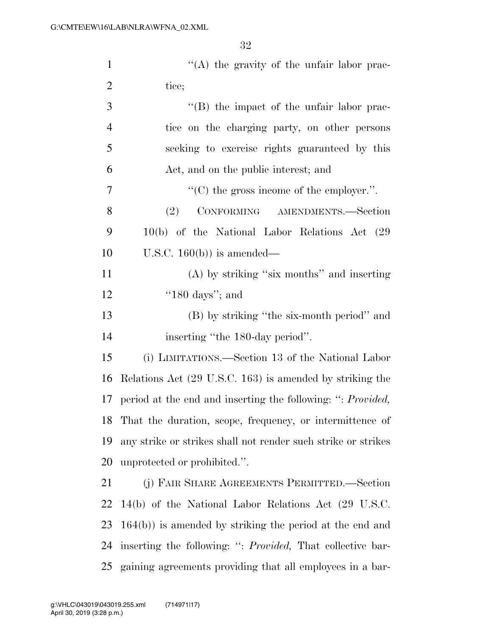| $\lq\lq$ the gravity of the unfair labor prac-    |
|---------------------------------------------------|
| tice:                                             |
| $\lq\lq (B)$ the impact of the unfair labor prac- |

| $\overline{4}$ | tice on the charging party, on other persons       |
|----------------|----------------------------------------------------|
| 5              | seeking to exercise rights guaranteed by this      |
| 6              | Act, and on the public interest; and               |
| 7              | $\lq\lq$ (C) the gross income of the employer.".   |
| 8              | CONFORMING AMENDMENTS.-Section<br>(2)              |
| 9              | $10(b)$ of the National Labor Relations Act $(29)$ |
| 10             | U.S.C. $160(b)$ is amended—                        |

 (A) by striking ''six months'' and inserting ''180 days''; and

 (B) by striking ''the six-month period'' and 14 inserting "the 180-day period".

 (i) LIMITATIONS.—Section 13 of the National Labor Relations Act (29 U.S.C. 163) is amended by striking the period at the end and inserting the following: '': *Provided,*  That the duration, scope, frequency, or intermittence of any strike or strikes shall not render such strike or strikes unprotected or prohibited.''.

 (j) FAIR SHARE AGREEMENTS PERMITTED.—Section 14(b) of the National Labor Relations Act (29 U.S.C. 164(b)) is amended by striking the period at the end and inserting the following: '': *Provided,* That collective bar-gaining agreements providing that all employees in a bar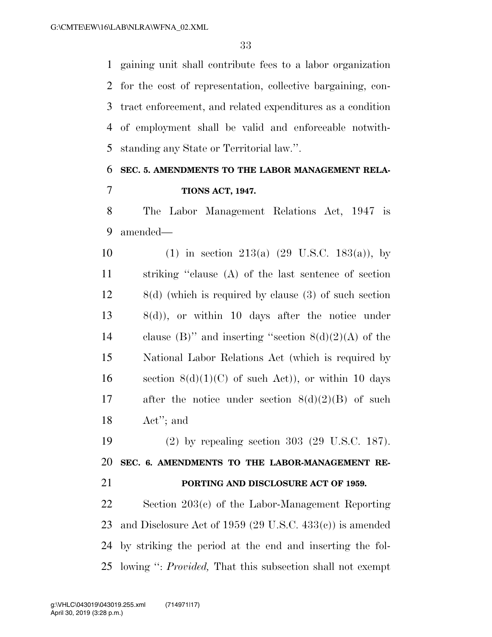gaining unit shall contribute fees to a labor organization for the cost of representation, collective bargaining, con- tract enforcement, and related expenditures as a condition of employment shall be valid and enforceable notwith-standing any State or Territorial law.''.

# **SEC. 5. AMENDMENTS TO THE LABOR MANAGEMENT RELA-TIONS ACT, 1947.**

 The Labor Management Relations Act, 1947 is amended—

10 (1) in section 213(a)  $(29 \text{ U.S.C. } 183(a))$ , by striking ''clause (A) of the last sentence of section 8(d) (which is required by clause (3) of such section 8(d)), or within 10 days after the notice under 14 clause (B)" and inserting "section  $8(d)(2)(A)$  of the National Labor Relations Act (which is required by 16 section  $8(d)(1)(C)$  of such Act), or within 10 days 17 after the notice under section  $8(d)(2)(B)$  of such Act''; and

 (2) by repealing section 303 (29 U.S.C. 187). **SEC. 6. AMENDMENTS TO THE LABOR-MANAGEMENT RE-**

#### **PORTING AND DISCLOSURE ACT OF 1959.**

 Section 203(c) of the Labor-Management Reporting and Disclosure Act of 1959 (29 U.S.C. 433(c)) is amended by striking the period at the end and inserting the fol-lowing '': *Provided,* That this subsection shall not exempt